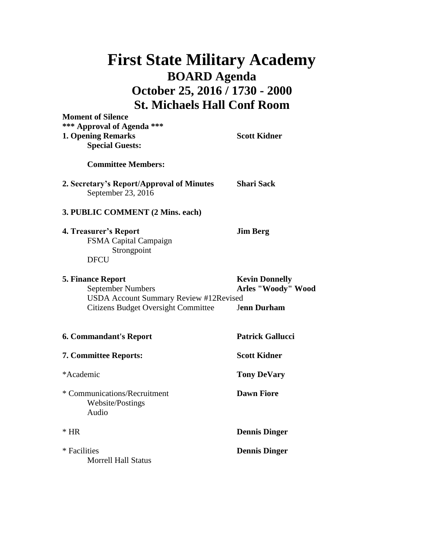## **First State Military Academy BOARD Agenda October 25, 2016 / 1730 - 2000 St. Michaels Hall Conf Room**

**Moment of Silence**

| <b>INDINANT OF BIRTING</b><br>*** Approval of Agenda ***<br>1. Opening Remarks<br><b>Special Guests:</b>                                            | <b>Scott Kidner</b>                                                      |
|-----------------------------------------------------------------------------------------------------------------------------------------------------|--------------------------------------------------------------------------|
| <b>Committee Members:</b>                                                                                                                           |                                                                          |
| 2. Secretary's Report/Approval of Minutes<br>September 23, 2016                                                                                     | <b>Shari Sack</b>                                                        |
| 3. PUBLIC COMMENT (2 Mins. each)                                                                                                                    |                                                                          |
| 4. Treasurer's Report<br>FSMA Capital Campaign<br>Strongpoint<br><b>DFCU</b>                                                                        | <b>Jim Berg</b>                                                          |
| <b>5. Finance Report</b><br><b>September Numbers</b><br><b>USDA Account Summary Review #12Revised</b><br><b>Citizens Budget Oversight Committee</b> | <b>Kevin Donnelly</b><br><b>Arles "Woody" Wood</b><br><b>Jenn Durham</b> |
| <b>6. Commandant's Report</b>                                                                                                                       | <b>Patrick Gallucci</b>                                                  |
| 7. Committee Reports:                                                                                                                               | <b>Scott Kidner</b>                                                      |
| *Academic                                                                                                                                           | <b>Tony DeVary</b>                                                       |
| * Communications/Recruitment<br>Website/Postings<br>Audio                                                                                           | <b>Dawn Fiore</b>                                                        |
| $*$ HR                                                                                                                                              | <b>Dennis Dinger</b>                                                     |
| * Facilities<br><b>Morrell Hall Status</b>                                                                                                          | <b>Dennis Dinger</b>                                                     |